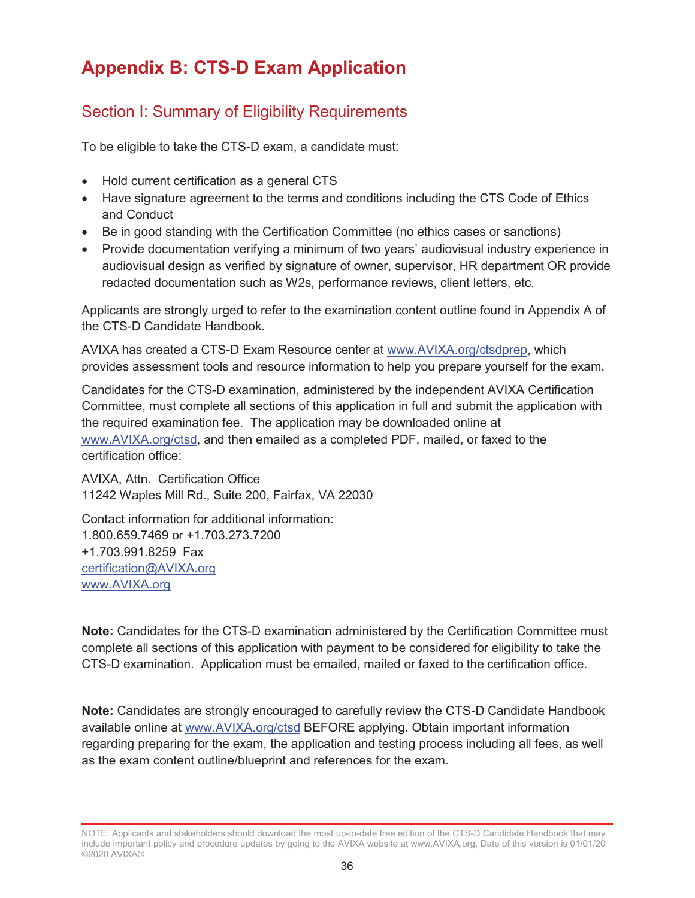# **Appendix B: CTS-D Exam Application**

## Section I: Summary of Eligibility Requirements

To be eligible to take the CTS-D exam, a candidate must:

- Hold current certification as a general CTS
- Have signature agreement to the terms and conditions including the CTS Code of Ethics and Conduct
- Be in good standing with the Certification Committee (no ethics cases or sanctions)
- Provide documentation verifying a minimum of two years' audiovisual industry experience in audiovisual design as verified by signature of owner, supervisor, HR department OR provide redacted documentation such as W2s, performance reviews, client letters, etc.

Applicants are strongly urged to refer to the examination content outline found in Appendix A of the CTS-D Candidate Handbook.

AVIXA has created a CTS-D Exam Resource center at www.AVIXA.org/ctsdprep, which provides assessment tools and resource information to help you prepare yourself for the exam.

Candidates for the CTS-D examination, administered by the independent AVIXA Certification Committee, must complete all sections of this application in full and submit the application with the required examination fee. The application may be downloaded online at www.AVIXA.org/ctsd, and then emailed as a completed PDF, mailed, or faxed to the certification office:

AVIXA, Attn. Certification Office 11242 Waples Mill Rd., Suite 200, Fairfax, VA 22030

Contact information for additional information: 1.800.659.7469 or +1.703.273.7200 +1.703.991.8259 Fax certification@AVIXA.org www.AVIXA.org

**Note:** Candidates for the CTS-D examination administered by the Certification Committee must complete all sections of this application with payment to be considered for eligibility to take the CTS-D examination. Application must be emailed, mailed or faxed to the certification office.

**Note:** Candidates are strongly encouraged to carefully review the CTS-D Candidate Handbook available online at www.AVIXA.org/ctsd BEFORE applying. Obtain important information regarding preparing for the exam, the application and testing process including all fees, as well as the exam content outline/blueprint and references for the exam.

NOTE: Applicants and stakeholders should download the most up-to-date free edition of the CTS-D Candidate Handbook that may include important policy and procedure updates by going to the AVIXA website at www.AVIXA.org. Date of this version is 01/01/20 ©2020 AVIXA®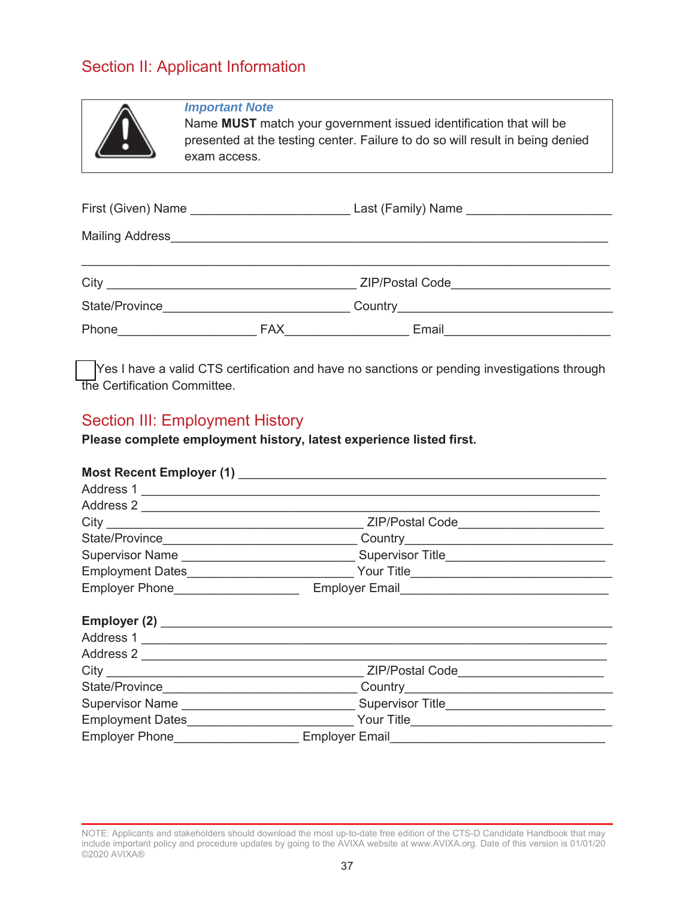### Section II: Applicant Information



#### *Important Note*

Name **MUST** match your government issued identification that will be presented at the testing center. Failure to do so will result in being denied exam access.

|                |     | ZIP/Postal Code <u>_______________________</u>             |  |  |  |
|----------------|-----|------------------------------------------------------------|--|--|--|
| State/Province |     |                                                            |  |  |  |
| Phone          | FAX | Email<br><u> 1990 - Jan Barbara III, politik politik (</u> |  |  |  |

 Yes I have a valid CTS certification and have no sanctions or pending investigations through the Certification Committee.

#### Section III: Employment History

**Please complete employment history, latest experience listed first.**

| Address 1                          |                                           |  |
|------------------------------------|-------------------------------------------|--|
|                                    |                                           |  |
|                                    | ZIP/Postal Code____________________       |  |
|                                    |                                           |  |
|                                    | Supervisor Title_________________________ |  |
|                                    |                                           |  |
| Employer Phone____________________ | Employer Email<br>Employer Email          |  |
|                                    |                                           |  |
|                                    |                                           |  |
|                                    |                                           |  |
|                                    | ZIP/Postal Code________________________   |  |
|                                    |                                           |  |
|                                    |                                           |  |
|                                    |                                           |  |
|                                    |                                           |  |

NOTE: Applicants and stakeholders should download the most up-to-date free edition of the CTS-D Candidate Handbook that may include important policy and procedure updates by going to the AVIXA website at www.AVIXA.org. Date of this version is 01/01/20 ©2020 AVIXA®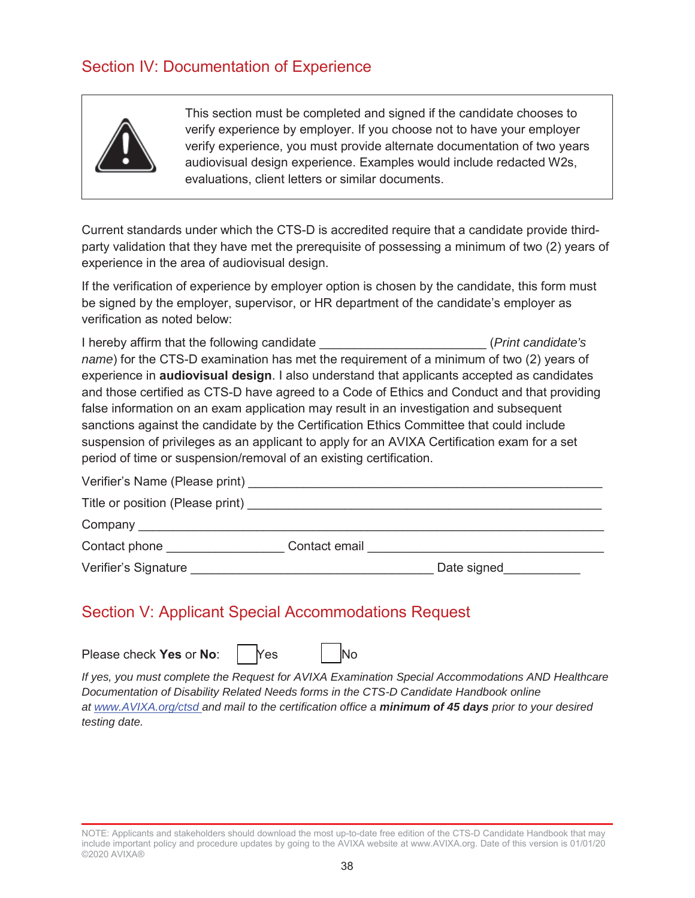## Section IV: Documentation of Experience



This section must be completed and signed if the candidate chooses to verify experience by employer. If you choose not to have your employer verify experience, you must provide alternate documentation of two years audiovisual design experience. Examples would include redacted W2s, evaluations, client letters or similar documents.

Current standards under which the CTS-D is accredited require that a candidate provide thirdparty validation that they have met the prerequisite of possessing a minimum of two (2) years of experience in the area of audiovisual design.

If the verification of experience by employer option is chosen by the candidate, this form must be signed by the employer, supervisor, or HR department of the candidate's employer as verification as noted below:

I hereby affirm that the following candidate \_\_\_\_\_\_\_\_\_\_\_\_\_\_\_\_\_\_\_\_\_\_\_\_ (*Print candidate's name*) for the CTS-D examination has met the requirement of a minimum of two (2) years of experience in **audiovisual design**. I also understand that applicants accepted as candidates and those certified as CTS-D have agreed to a Code of Ethics and Conduct and that providing false information on an exam application may result in an investigation and subsequent sanctions against the candidate by the Certification Ethics Committee that could include suspension of privileges as an applicant to apply for an AVIXA Certification exam for a set period of time or suspension/removal of an existing certification.

Verifier's Name (Please print) and the control of the control of the control of the control of the control of the control of the control of the control of the control of the control of the control of the control of the con

| Title or position (Please print) |  |
|----------------------------------|--|
|----------------------------------|--|

| ∽ |  |  |
|---|--|--|
|   |  |  |

Contact phone **Contact email**  $\sim$  Contact email  $\sim$ 

Verifier's Signature **Exercise 2** and the United States of Date signed

## Section V: Applicant Special Accommodations Request

Please check **Yes** or **No**: | **Yes** | **No** 

*If yes, you must complete the Request for AVIXA Examination Special Accommodations AND Healthcare Documentation of Disability Related Needs forms in the CTS-D Candidate Handbook online at www.AVIXA.org/ctsd and mail to the certification office a minimum of 45 days prior to your desired testing date.* 

NOTE: Applicants and stakeholders should download the most up-to-date free edition of the CTS-D Candidate Handbook that may include important policy and procedure updates by going to the AVIXA website at www.AVIXA.org. Date of this version is 01/01/20 ©2020 AVIXA®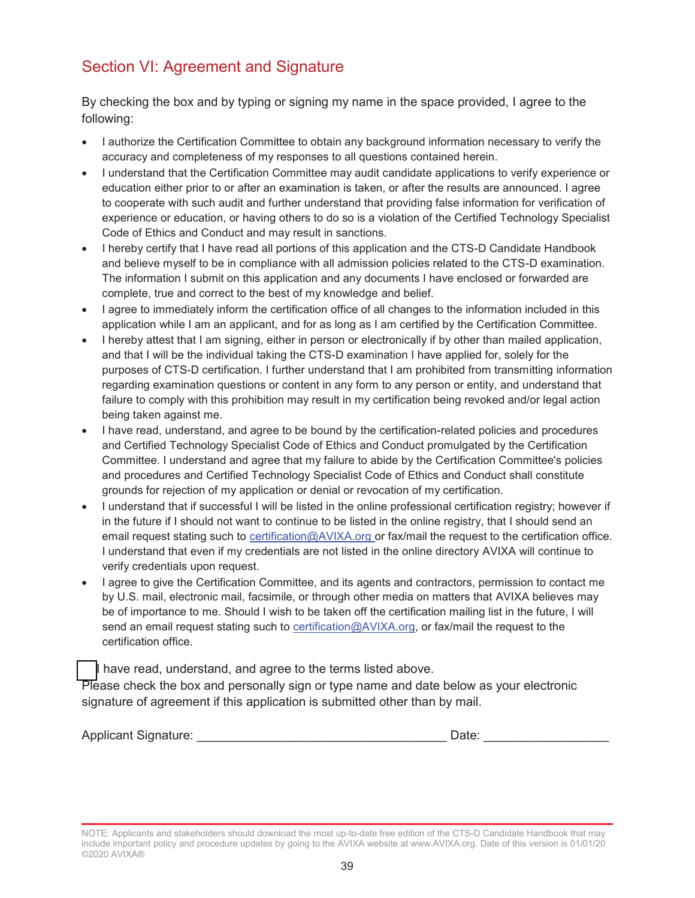## Section VI: Agreement and Signature

By checking the box and by typing or signing my name in the space provided, I agree to the following:

- I authorize the Certification Committee to obtain any background information necessary to verify the accuracy and completeness of my responses to all questions contained herein.
- I understand that the Certification Committee may audit candidate applications to verify experience or education either prior to or after an examination is taken, or after the results are announced. I agree to cooperate with such audit and further understand that providing false information for verification of experience or education, or having others to do so is a violation of the Certified Technology Specialist Code of Ethics and Conduct and may result in sanctions.
- I hereby certify that I have read all portions of this application and the CTS-D Candidate Handbook and believe myself to be in compliance with all admission policies related to the CTS-D examination. The information I submit on this application and any documents I have enclosed or forwarded are complete, true and correct to the best of my knowledge and belief.
- I agree to immediately inform the certification office of all changes to the information included in this application while I am an applicant, and for as long as I am certified by the Certification Committee.
- I hereby attest that I am signing, either in person or electronically if by other than mailed application, and that I will be the individual taking the CTS-D examination I have applied for, solely for the purposes of CTS-D certification. I further understand that I am prohibited from transmitting information regarding examination questions or content in any form to any person or entity, and understand that failure to comply with this prohibition may result in my certification being revoked and/or legal action being taken against me.
- I have read, understand, and agree to be bound by the certification-related policies and procedures and Certified Technology Specialist Code of Ethics and Conduct promulgated by the Certification Committee. I understand and agree that my failure to abide by the Certification Committee's policies and procedures and Certified Technology Specialist Code of Ethics and Conduct shall constitute grounds for rejection of my application or denial or revocation of my certification.
- I understand that if successful I will be listed in the online professional certification registry; however if in the future if I should not want to continue to be listed in the online registry, that I should send an email request stating such to **certification@AVIXA.org** or fax/mail the request to the certification office. I understand that even if my credentials are not listed in the online directory AVIXA will continue to verify credentials upon request.
- I agree to give the Certification Committee, and its agents and contractors, permission to contact me by U.S. mail, electronic mail, facsimile, or through other media on matters that AVIXA believes may be of importance to me. Should I wish to be taken off the certification mailing list in the future, I will send an email request stating such to certification@AVIXA.org, or fax/mail the request to the certification office.

I have read, understand, and agree to the terms listed above.

Please check the box and personally sign or type name and date below as your electronic signature of agreement if this application is submitted other than by mail.

| <b>Applicant Signature:</b> |  |
|-----------------------------|--|
|-----------------------------|--|

NOTE: Applicants and stakeholders should download the most up-to-date free edition of the CTS-D Candidate Handbook that may include important policy and procedure updates by going to the AVIXA website at www.AVIXA.org. Date of this version is 01/01/20 ©2020 AVIXA®